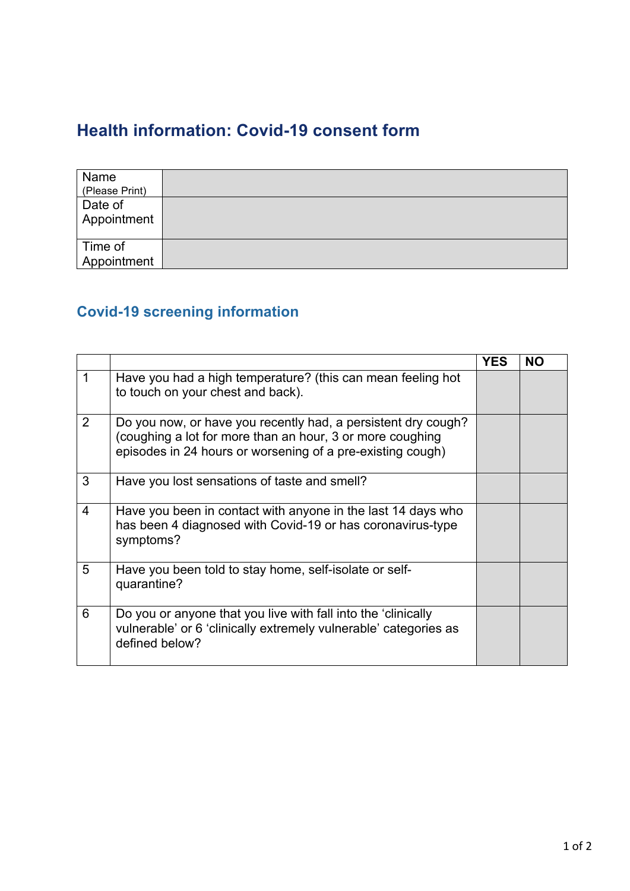## **Health information: Covid-19 consent form**

| Name<br>(Please Print) |  |
|------------------------|--|
| Date of<br>Appointment |  |
| Time of<br>Appointment |  |

## **Covid-19 screening information**

|                |                                                                                                                                                                                          | <b>YES</b> | <b>NO</b> |
|----------------|------------------------------------------------------------------------------------------------------------------------------------------------------------------------------------------|------------|-----------|
|                | Have you had a high temperature? (this can mean feeling hot<br>to touch on your chest and back).                                                                                         |            |           |
| 2              | Do you now, or have you recently had, a persistent dry cough?<br>(coughing a lot for more than an hour, 3 or more coughing<br>episodes in 24 hours or worsening of a pre-existing cough) |            |           |
| 3              | Have you lost sensations of taste and smell?                                                                                                                                             |            |           |
| $\overline{4}$ | Have you been in contact with anyone in the last 14 days who<br>has been 4 diagnosed with Covid-19 or has coronavirus-type<br>symptoms?                                                  |            |           |
| 5              | Have you been told to stay home, self-isolate or self-<br>quarantine?                                                                                                                    |            |           |
| 6              | Do you or anyone that you live with fall into the 'clinically<br>vulnerable' or 6 'clinically extremely vulnerable' categories as<br>defined below?                                      |            |           |